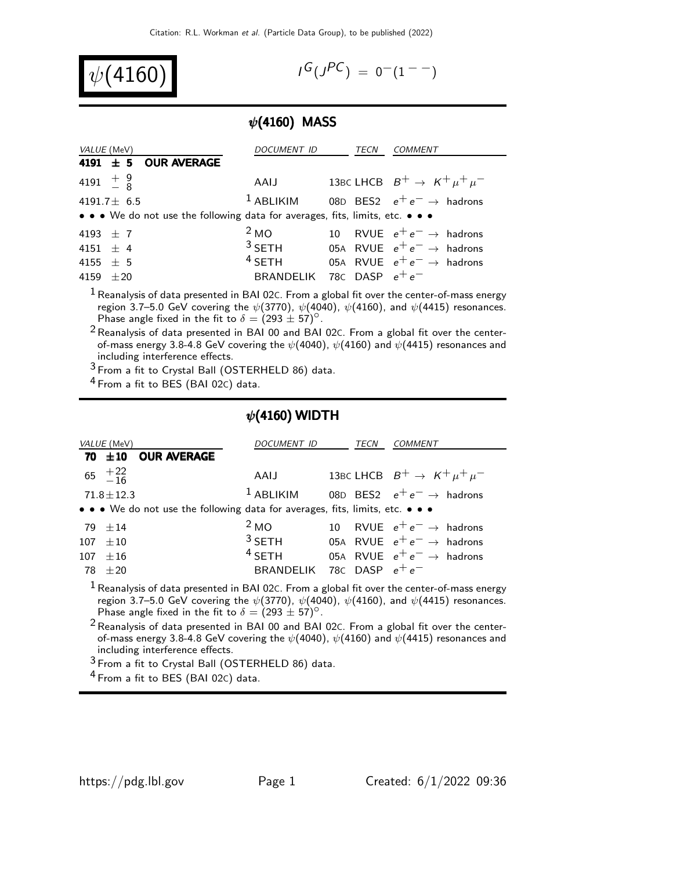

$$
I^G(J^{PC}) = 0^-(1^{--})
$$

## $\psi$ (4160) MASS

| <i>VALUE</i> (MeV)                                                            | DOCUMENT ID                 | TECN | COMMENT                                                    |
|-------------------------------------------------------------------------------|-----------------------------|------|------------------------------------------------------------|
| 4191 $\pm$ 5 OUR AVERAGE                                                      |                             |      |                                                            |
| 4191 $\frac{+}{-}$ $\frac{9}{8}$                                              | AAIJ                        |      | 13BC LHCB $B^+ \rightarrow K^+ \mu^+ \mu^-$                |
| 4191.7 $\pm$ 6.5                                                              |                             |      | <sup>1</sup> ABLIKIM 08D BES2 $e^+e^- \rightarrow$ hadrons |
| • • • We do not use the following data for averages, fits, limits, etc. • • • |                             |      |                                                            |
| 4193 $\pm$ 7                                                                  | 2 <sub>MO</sub>             |      | 10 RVUE $e^+e^- \rightarrow$ hadrons                       |
| 4151 $\pm$ 4                                                                  | $3$ SETH                    |      | 05A RVUE $e^+e^- \rightarrow$ hadrons                      |
| 4155 $\pm$ 5                                                                  | $4$ SETH                    |      | 05A RVUE $e^+e^- \rightarrow$ hadrons                      |
| $+20$<br>4159                                                                 | BRANDELIK 78C DASP $e^+e^-$ |      |                                                            |

 $1$  Reanalysis of data presented in BAI 02C. From a global fit over the center-of-mass energy region 3.7–5.0 GeV covering the  $\psi(3770)$ ,  $\psi(4040)$ ,  $\psi(4160)$ , and  $\psi(4415)$  resonances. Phase angle fixed in the fit to  $\delta = (293 \pm 57)^{\circ}$ .

 $2$  Reanalysis of data presented in BAI 00 and BAI 02C. From a global fit over the centerof-mass energy 3.8-4.8 GeV covering the  $\psi$ (4040),  $\psi$ (4160) and  $\psi$ (4415) resonances and including interference effects.

3 From a fit to Crystal Ball (OSTERHELD 86) data.

4 From a fit to BES (BAI 02C) data.

## $\psi$ (4160) WIDTH

| VALUE (MeV)                                                                                   | DOCUMENT ID                 | TECN | COMMENT                                                    |
|-----------------------------------------------------------------------------------------------|-----------------------------|------|------------------------------------------------------------|
| 70 $\pm$ 10 OUR AVERAGE                                                                       |                             |      |                                                            |
| 65 $^{+22}_{-16}$                                                                             | AAIJ                        |      | 13BC LHCB $B^+ \rightarrow K^+ \mu^+ \mu^-$                |
| $71.8 \pm 12.3$                                                                               |                             |      | <sup>1</sup> ABLIKIM 08D BES2 $e^+e^- \rightarrow$ hadrons |
| • • • We do not use the following data for averages, fits, limits, etc. • • •                 |                             |      |                                                            |
| $79 + 14$                                                                                     | 2 <sub>MO</sub>             |      | 10 RVUE $e^+e^- \rightarrow$ hadrons                       |
| $107 \pm 10$                                                                                  |                             |      | <sup>3</sup> SETH 05A RVUE $e^+e^- \rightarrow$ hadrons    |
| $107 \pm 16$                                                                                  | $4$ SETH                    |      | 05A RVUE $e^+e^- \rightarrow$ hadrons                      |
| $78 \pm 20$                                                                                   | BRANDELIK 78C DASP $e^+e^-$ |      |                                                            |
| $1$ Reanalysis of data presented in BAI 02C. From a global fit over the center-of-mass energy |                             |      |                                                            |

region 3.7–5.0 GeV covering the  $\psi(3770)$ ,  $\psi(4040)$ ,  $\psi(4160)$ , and  $\psi(4415)$  resonances. Phase angle fixed in the fit to  $\delta = (293 \pm 57)^{\circ}$ .

 $^2$ Reanalysis of data presented in BAI 00 and BAI 02 $c$ . From a global fit over the centerof-mass energy 3.8-4.8 GeV covering the  $\psi($ 4040),  $\psi($ 4160) and  $\psi($ 4415) resonances and including interference effects.

3 From a fit to Crystal Ball (OSTERHELD 86) data.

4 From a fit to BES (BAI 02C) data.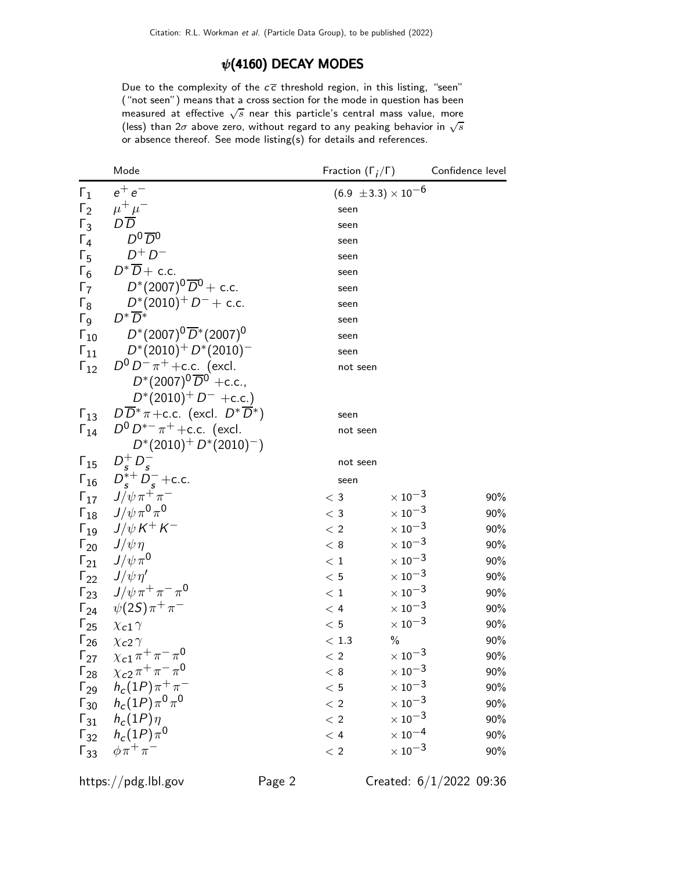## $\psi$ (4160) DECAY MODES

Due to the complexity of the  $c\overline{c}$  threshold region, in this listing, "seen" ("not seen") means that a cross section for the mode in question has been measured at effective  $\sqrt{s}$  near this particle's central mass value, more (less) than  $2\sigma$  above zero, without regard to any peaking behavior in  $\sqrt{s}$ or absence thereof. See mode listing(s) for details and references.

|                       | Mode                                                     | Fraction $(\Gamma_i/\Gamma)$ |                                | Confidence level |
|-----------------------|----------------------------------------------------------|------------------------------|--------------------------------|------------------|
| $\Gamma_1$            | $e^+e^-$                                                 |                              | $(6.9 \pm 3.3) \times 10^{-6}$ |                  |
| $\Gamma_2$            | $\mu^+ \mu^-$                                            | seen                         |                                |                  |
| $\Gamma_3$            | $D\overline{D}$                                          | seen                         |                                |                  |
| $\Gamma_4$            | $D^0\overline{D}{}^0$                                    | seen                         |                                |                  |
| $\Gamma_5$            | $D^+D^-$                                                 | seen                         |                                |                  |
| $\Gamma_6$            | $D^*\overline{D}+$ c.c.                                  | seen                         |                                |                  |
| $\Gamma_7$            | $D^*(2007)^0\,\overline{\!D}{}^0+$ c.c.                  | seen                         |                                |                  |
| $\Gamma_8$            | $D^*(2010)^+ D^- +$ c.c.                                 | seen                         |                                |                  |
| $\Gamma_{\mathsf{Q}}$ | $D^*\overline{D}{}^*$                                    | seen                         |                                |                  |
| $\Gamma_{10}$         | $D^*(2007)^0\,\overline{D}{}^*(2007)^0$                  | seen                         |                                |                  |
| $\Gamma_{11}$         | $D^*(2010)^+ D^*(2010)^-$                                | seen                         |                                |                  |
| $\Gamma_{12}$         | $D^0 D^- \pi^+$ + c.c. (excl.                            | not seen                     |                                |                  |
|                       | $D^*(2007)^0 \overline{D}^0$ +c.c.,                      |                              |                                |                  |
|                       | $D^*(2010)^+ D^-$ +c.c.)                                 |                              |                                |                  |
| $\Gamma_{13}$         | $D\overline{D}^*\pi + c.c.$ (excl. $D^*\overline{D}^*$ ) | seen                         |                                |                  |
| $\Gamma_{14}$         | $D^0 D^{*-} \pi^+$ + c.c. (excl.                         | not seen                     |                                |                  |
|                       | $D^*(2010)^+ D^*(2010)^-)$                               |                              |                                |                  |
| $\Gamma_{15}$         | $D_{\rm s}^+ D_{\rm s}^-$                                | not seen                     |                                |                  |
|                       | $\Gamma_{16}$ $D_s^{*+} D_s^-$ + c.c.                    | seen                         |                                |                  |
|                       | $\Gamma_{17}$ $J/\psi \pi^+ \pi^-$                       | $<$ 3                        | $\times 10^{-3}$               | 90%              |
|                       | $\Gamma_{18}$ $J/\psi \pi^0 \pi^0$                       | $<$ 3                        | $\times$ 10 $^{-3}$            | 90%              |
|                       | $\Gamma_{19}$ $J/\psi K^{+} K^{-}$                       | < 2                          | $\times$ 10 <sup>-3</sup>      | 90%              |
|                       | $\Gamma_{20}$ $J/\psi \eta$                              | < 8                          | $\times$ 10 <sup>-3</sup>      | 90%              |
|                       | $\Gamma_{21}$ $J/\psi \pi^0$                             | < 1                          | $\times$ 10 <sup>-3</sup>      | 90%              |
|                       | $\Gamma_{22}$ $J/\psi \eta'$                             | < 5                          | $\times$ 10 <sup>-3</sup>      | 90%              |
|                       | $\Gamma_{23}$ $J/\psi \pi^+ \pi^- \pi^0$                 | < 1                          | $\times\,10^{-3}$              | $90\%$           |
|                       | $\Gamma_{24}$ $\psi(2S)\pi^{+}\pi^{-}$                   | $<$ 4                        | $\times\,10^{-3}$              | 90%              |
| $\Gamma_{25}$         | $\chi_{c1} \gamma$                                       | < 5                          | $\times$ 10 $^{-3}$            | 90%              |
| $\Gamma_{26}$         | $\chi$ <sub>c</sub> 2 $\gamma$                           | $<\,1.3$                     | $\%$                           | 90%              |
|                       | $\Gamma_{27}$ $\chi_{c1} \pi^+ \pi^- \pi^0$              | < 2                          | $\times$ 10 <sup>-3</sup>      | 90%              |
| $\Gamma_{28}$         | $\chi_{c2} \pi^+ \pi^- \pi^0$                            | $\rm <~8$                    | $\times$ $10^{-3}$             | 90%              |
|                       | $\Gamma_{29}$ $h_c(1P)\pi^+\pi^-$                        | < 5                          | $\times$ 10 <sup>-3</sup>      | 90%              |
|                       | $\Gamma_{30}$ $h_c(1P)\pi^0\pi^0$                        | < 2                          | $\times$ 10 <sup>-3</sup>      | 90%              |
| $\Gamma_{31}$         | $h_c(1P)\eta$                                            | < 2                          | $\times\,10^{-3}$              | 90%              |
|                       | $\Gamma_{32}$ $h_c(1P)\pi^0$                             | < 4                          | $\times$ $10^{-4}$             | 90%              |
|                       | $\Gamma_{33}$ $\phi \pi^+ \pi^-$                         | < 2                          | $\times$ 10 <sup>-3</sup>      | 90%              |
|                       |                                                          |                              |                                |                  |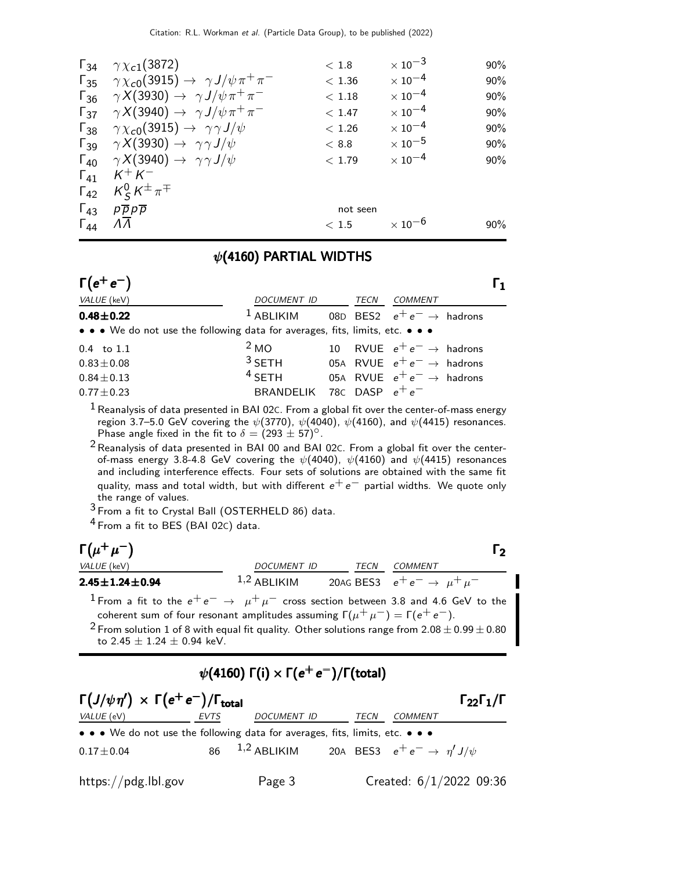| $\Gamma_{34}$ | $\gamma \chi_{c1}(3872)$                                                | $<\,1.8$ | $\times$ 10 $^{-3}$       | 90% |
|---------------|-------------------------------------------------------------------------|----------|---------------------------|-----|
| $\Gamma_{35}$ | $\gamma \chi_{c0}(3915) \rightarrow \gamma J/\psi \pi^+ \pi^-$          | < 1.36   | $\times$ 10 <sup>-4</sup> | 90% |
| $\Gamma_{36}$ | $\gamma X(3930) \rightarrow \gamma J/\psi \pi^+ \pi^-$                  | < 1.18   | $\times$ 10 $^{-4}$       | 90% |
| $\Gamma_{37}$ | $\gamma X(3940) \rightarrow \gamma J/\psi \pi^+ \pi^-$                  | < 1.47   | $\times$ 10 $^{-4}$       | 90% |
|               | $\Gamma_{38}$ $\gamma \chi_{c0}(3915) \rightarrow \gamma \gamma J/\psi$ | < 1.26   | $\times$ 10 $^{-4}$       | 90% |
|               | $\Gamma_{39}$ $\gamma X(3930) \rightarrow \gamma \gamma J/\psi$         | < 8.8    | $\times$ 10 $^{-5}$       | 90% |
|               | $\Gamma_{40}$ $\gamma X(3940) \rightarrow \gamma \gamma J/\psi$         | < 1.79   | $\times$ 10 $^{-4}$       | 90% |
| $\Gamma_{41}$ | $K^+ K^-$                                                               |          |                           |     |
| $\Gamma_{42}$ | $K_S^0 K^{\pm} \pi^{\mp}$                                               |          |                           |     |
| $\Gamma_{43}$ | $p\overline{p}p\overline{p}$                                            | not seen |                           |     |
| $\Gamma_{44}$ | $\Lambda\Lambda$                                                        | < 1.5    | $\times$ 10 <sup>-6</sup> | 90% |
|               |                                                                         |          |                           |     |

## $\psi$ (4160) PARTIAL WIDTHS

| $\Gamma(e^+e^-)$                                                              |                                                            |      |                                       | l 1 |
|-------------------------------------------------------------------------------|------------------------------------------------------------|------|---------------------------------------|-----|
| VALUE (keV)                                                                   | <i>DOCUMENT ID</i>                                         | TECN | <b>COMMENT</b>                        |     |
| $0.48 \pm 0.22$                                                               | <sup>1</sup> ABLIKIM 08D BES2 $e^+e^- \rightarrow$ hadrons |      |                                       |     |
| • • • We do not use the following data for averages, fits, limits, etc. • • • |                                                            |      |                                       |     |
| $0.4$ to $1.1$                                                                | 2 <sub>MO</sub>                                            |      | 10 RVUE $e^+e^- \rightarrow$ hadrons  |     |
| $0.83 \pm 0.08$                                                               | <sup>3</sup> SETH 05A RVUE $e^+e^- \rightarrow$ hadrons    |      |                                       |     |
| $0.84 \pm 0.13$                                                               | $4$ SETH                                                   |      | 05A RVUE $e^+e^- \rightarrow$ hadrons |     |
| $0.77 \pm 0.23$                                                               | BRANDELIK 78C DASP $e^+e^-$                                |      |                                       |     |

 $1$  Reanalysis of data presented in BAI 02C. From a global fit over the center-of-mass energy region 3.7–5.0 GeV covering the  $\psi(3770)$ ,  $\psi(4040)$ ,  $\psi(4160)$ , and  $\psi(4415)$  resonances. Phase angle fixed in the fit to  $\delta = (293 \pm 57)^{\circ}$ .

 $2$  Reanalysis of data presented in BAI 00 and BAI 02 $c$ . From a global fit over the centerof-mass energy 3.8-4.8 GeV covering the  $\psi(4040)$ ,  $\psi(4160)$  and  $\psi(4415)$  resonances and including interference effects. Four sets of solutions are obtained with the same fit quality, mass and total width, but with different  $e^+e^-$  partial widths. We quote only the range of values.

3 From a fit to Crystal Ball (OSTERHELD 86) data.

4 From a fit to BES (BAI 02C) data.

| $\Gamma(\mu^+\mu^-)$                                                                                                                                                                                                                                                                                                                                        |                                                       |      |  | נ I            |  |  |  |  |
|-------------------------------------------------------------------------------------------------------------------------------------------------------------------------------------------------------------------------------------------------------------------------------------------------------------------------------------------------------------|-------------------------------------------------------|------|--|----------------|--|--|--|--|
| VALUE (keV)                                                                                                                                                                                                                                                                                                                                                 | DOCUMENT ID                                           | TECN |  | <i>COMMENT</i> |  |  |  |  |
| $2.45 \pm 1.24 \pm 0.94$                                                                                                                                                                                                                                                                                                                                    | 1,2 ABLIKIM 20AG BES3 $e^+e^- \rightarrow \mu^+\mu^-$ |      |  |                |  |  |  |  |
| <sup>1</sup> From a fit to the $e^+e^- \rightarrow \mu^+\mu^-$ cross section between 3.8 and 4.6 GeV to the<br>coherent sum of four resonant amplitudes assuming $\Gamma(\mu^+ \mu^-) = \Gamma(e^+ e^-)$ .<br><sup>2</sup> From solution 1 of 8 with equal fit quality. Other solutions range from $2.08 \pm 0.99 \pm 0.80$<br>to $2.45 + 1.24 + 0.94$ keV. |                                                       |      |  |                |  |  |  |  |
| $\psi(4160) \Gamma(i) \times \Gamma(e^+e^-)/\Gamma(\text{total})$                                                                                                                                                                                                                                                                                           |                                                       |      |  |                |  |  |  |  |

| $\Gamma(J/\psi \eta') \times \Gamma(e^+e^-)/\Gamma_{\text{total}}$                                                    |      |                                                                      |      |         | $\Gamma_{22}\Gamma_1/\Gamma$ |
|-----------------------------------------------------------------------------------------------------------------------|------|----------------------------------------------------------------------|------|---------|------------------------------|
| VALUE (eV)                                                                                                            | EVTS | DOCUMENT ID                                                          | TECN | COMMENT |                              |
| $\bullet \bullet \bullet$ We do not use the following data for averages, fits, limits, etc. $\bullet \bullet \bullet$ |      |                                                                      |      |         |                              |
| $0.17\pm0.04$                                                                                                         |      | 86 <sup>1,2</sup> ABLIKIM 20A BES3 $e^+e^- \rightarrow \eta' J/\psi$ |      |         |                              |
| https://pdg.lbl.gov                                                                                                   |      | Page 3                                                               |      |         | Created: $6/1/2022$ 09:36    |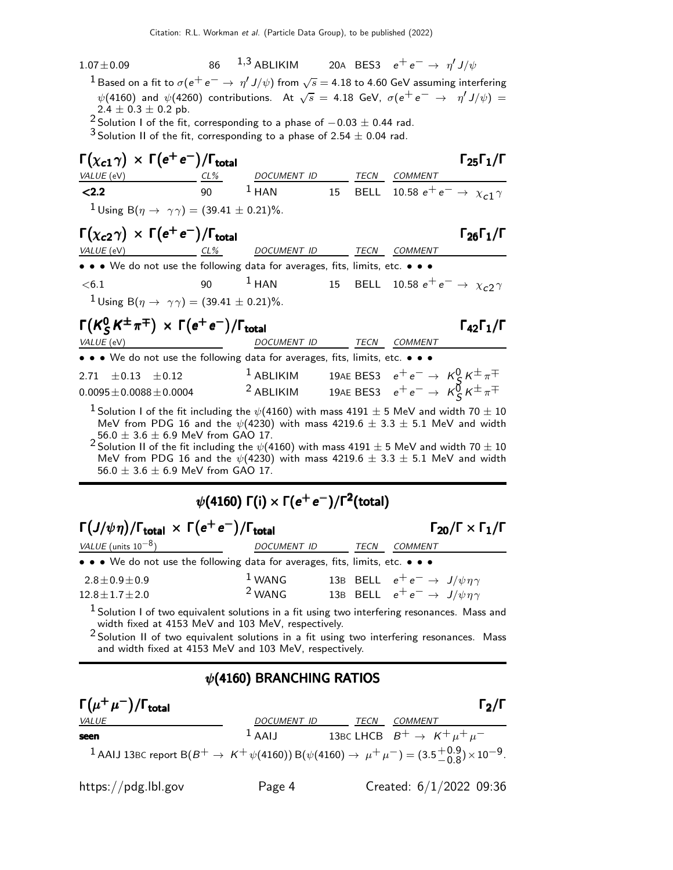| $1.07 \pm 0.09$<br>$^1$ Based on a fit to $\sigma(\mathrm{e}^+\,\mathrm{e}^- \to\,\eta' \,J/\psi)$ from $\sqrt{s}=$ 4.18 to 4.60 GeV assuming interfering<br>$\psi(4160)$ and $\psi(4260)$ contributions. At $\sqrt{s} = 4.18$ GeV, $\sigma(e^+e^- \rightarrow \eta'J/\psi) =$<br>$2.4 \pm 0.3 \pm 0.2$ pb.<br><sup>2</sup> Solution I of the fit, corresponding to a phase of $-0.03 \pm 0.44$ rad.<br><sup>3</sup> Solution II of the fit, corresponding to a phase of 2.54 $\pm$ 0.04 rad.  |    | 86 <sup>1,3</sup> ABLIKIM 20A BES3 $e^+e^- \rightarrow \eta' J/\psi$        |  |                                                        |                                             |
|------------------------------------------------------------------------------------------------------------------------------------------------------------------------------------------------------------------------------------------------------------------------------------------------------------------------------------------------------------------------------------------------------------------------------------------------------------------------------------------------|----|-----------------------------------------------------------------------------|--|--------------------------------------------------------|---------------------------------------------|
| $\Gamma(\chi_{c1}\gamma) \times \Gamma(e^+e^-)/\Gamma_{\text{total}}$                                                                                                                                                                                                                                                                                                                                                                                                                          |    |                                                                             |  |                                                        | $\Gamma_{25}\Gamma_{1}/\Gamma$              |
| VALUE (eV)<br>$CL\%$                                                                                                                                                                                                                                                                                                                                                                                                                                                                           |    | DOCUMENT ID TECN COMMENT                                                    |  |                                                        |                                             |
| 2.2                                                                                                                                                                                                                                                                                                                                                                                                                                                                                            |    | 90 $1$ HAN                                                                  |  |                                                        | 15 BELL 10.58 $e^+e^- \to \chi_{c1} \gamma$ |
| <sup>1</sup> Using B( $\eta \to \gamma \gamma$ ) = (39.41 ± 0.21)%.                                                                                                                                                                                                                                                                                                                                                                                                                            |    |                                                                             |  |                                                        |                                             |
| $\Gamma(\chi_{c2}\gamma) \times \Gamma(e^+e^-)/\Gamma_{\rm total}$<br>VALUE (eV)<br>$CL\%$                                                                                                                                                                                                                                                                                                                                                                                                     |    | DOCUMENT ID TECN COMMENT                                                    |  |                                                        | $\Gamma_{26}\Gamma_1/\Gamma$                |
| • • • We do not use the following data for averages, fits, limits, etc. • • •                                                                                                                                                                                                                                                                                                                                                                                                                  |    |                                                                             |  |                                                        |                                             |
| < 6.1                                                                                                                                                                                                                                                                                                                                                                                                                                                                                          | 90 | $1$ HAN                                                                     |  |                                                        | 15 BELL 10.58 $e^+e^- \to \chi_c$ 27        |
| <sup>1</sup> Using B( $\eta \to \gamma \gamma$ ) = (39.41 ± 0.21)%.                                                                                                                                                                                                                                                                                                                                                                                                                            |    |                                                                             |  |                                                        |                                             |
| $\Gamma(K_S^0 K^{\pm} \pi^{\mp}) \times \Gamma(e^+ e^-)/\Gamma_{\text{total}}$                                                                                                                                                                                                                                                                                                                                                                                                                 |    |                                                                             |  |                                                        | $\Gamma_{42}\Gamma_1/\Gamma$                |
| VALUE (eV)                                                                                                                                                                                                                                                                                                                                                                                                                                                                                     |    | DOCUMENT ID                                                                 |  | TECN COMMENT                                           |                                             |
| • • • We do not use the following data for averages, fits, limits, etc. • •                                                                                                                                                                                                                                                                                                                                                                                                                    |    |                                                                             |  |                                                        |                                             |
| $\pm 0.12$<br>2.71<br>$\pm 0.13$                                                                                                                                                                                                                                                                                                                                                                                                                                                               |    | $1$ ABLIKIM                                                                 |  | 19AE BES3 $e^+e^- \rightarrow K^0_c K^{\pm} \pi^{\mp}$ |                                             |
| $0.0095 \pm 0.0088 \pm 0.0004$                                                                                                                                                                                                                                                                                                                                                                                                                                                                 |    | <sup>2</sup> ABLIKIM 19AE BES3 $e^+e^- \rightarrow K_S^0 K^{\pm} \pi^{\mp}$ |  |                                                        |                                             |
| $^1$ Solution I of the fit including the $\psi(4160)$ with mass 4191 $\pm$ 5 MeV and width 70 $\pm$ 10<br>MeV from PDG 16 and the $\psi(4230)$ with mass $4219.6 \pm 3.3 \pm 5.1$ MeV and width<br>56.0 $\pm$ 3.6 $\pm$ 6.9 MeV from GAO 17.<br>$^2$ Solution II of the fit including the $\psi$ (4160) with mass 4191 $\pm$ 5 MeV and width 70 $\pm$ 10<br>MeV from PDG 16 and the $\psi(4230)$ with mass $4219.6 \pm 3.3 \pm 5.1$ MeV and width<br>56.0 $\pm$ 3.6 $\pm$ 6.9 MeV from GAO 17. |    |                                                                             |  |                                                        |                                             |

## $\psi($ 4160) Γ(i)  $\times$  Γ $(e^+e^-)/$ Γ $^2$ (total)

| $\Gamma(J/\psi \eta)/\Gamma_{\text{total}} \times \Gamma(e^+e^-)/\Gamma_{\text{total}}$ |             | $\Gamma_{20}/\Gamma \times \Gamma_1/\Gamma$ |      |                                                  |  |
|-----------------------------------------------------------------------------------------|-------------|---------------------------------------------|------|--------------------------------------------------|--|
| VALUE (units $10^{-8}$ )                                                                | DOCUMENT ID |                                             | TECN | <b>COMMENT</b>                                   |  |
| • • • We do not use the following data for averages, fits, limits, etc. • • •           |             |                                             |      |                                                  |  |
| $2.8 \pm 0.9 \pm 0.9$                                                                   | $1$ WANG    |                                             |      | 13B BELL $e^+e^- \rightarrow J/\psi \eta \gamma$ |  |
| $12.8 \pm 1.7 \pm 2.0$                                                                  | $2$ WANG    |                                             |      | 13B BELL $e^+e^- \rightarrow J/\psi \eta \gamma$ |  |
| 1.                                                                                      | .           |                                             |      |                                                  |  |

<sup>1</sup> Solution I of two equivalent solutions in a fit using two interfering resonances. Mass and width fixed at 4153 MeV and 103 MeV, respectively.

2 Solution II of two equivalent solutions in a fit using two interfering resonances. Mass and width fixed at 4153 MeV and 103 MeV, respectively.

## $\psi$ (4160) BRANCHING RATIOS

| $\Gamma(\mu^+\mu^-)/\Gamma_{\rm total}$                                                                                                      |              |      | $\Gamma_2/\Gamma$                           |
|----------------------------------------------------------------------------------------------------------------------------------------------|--------------|------|---------------------------------------------|
| <i>VALUE</i>                                                                                                                                 | DOCUMENT ID  | TECN | <i>COMMENT</i>                              |
| seen                                                                                                                                         | $\perp$ AALI |      | 13BC LHCB $B^+ \rightarrow K^+ \mu^+ \mu^-$ |
| <sup>1</sup> AAIJ 13BC report B( $B^+ \to K^+ \psi(4160)$ ) B( $\psi(4160) \to \mu^+ \mu^-$ ) = (3.5 $^{+0.9}_{-0.8}$ ) × 10 <sup>-9</sup> . |              |      |                                             |

https://pdg.lbl.gov Page 4 Created: 6/1/2022 09:36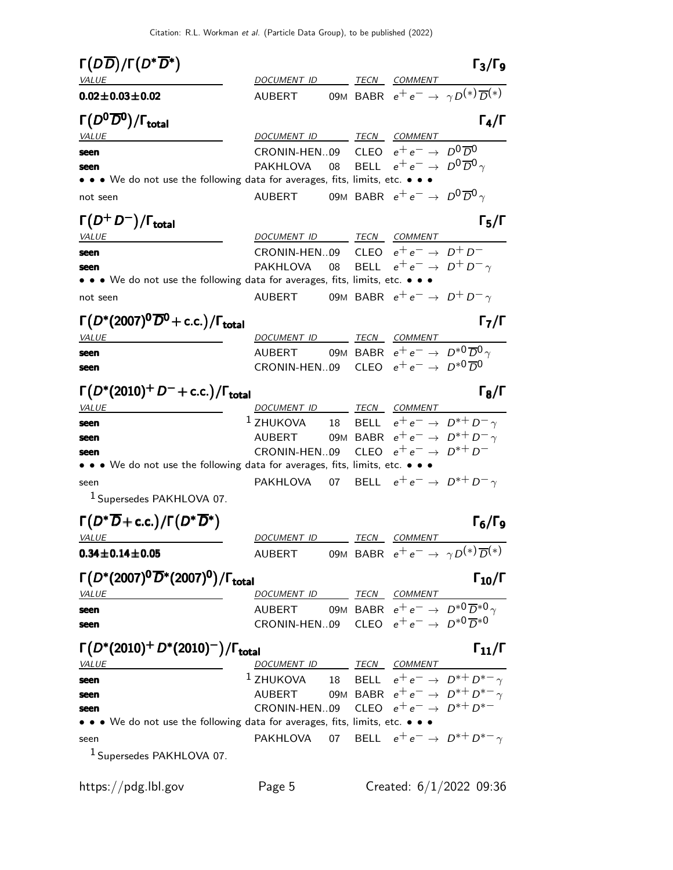| $\Gamma(D\overline{D})/\Gamma(D^*\overline{D^*})$                                                                                            |                                                                                                                                    |  |                                                        | $\Gamma_3/\Gamma_9$                                            |
|----------------------------------------------------------------------------------------------------------------------------------------------|------------------------------------------------------------------------------------------------------------------------------------|--|--------------------------------------------------------|----------------------------------------------------------------|
| VALUE                                                                                                                                        | DOCUMENT ID TECN COMMENT                                                                                                           |  |                                                        |                                                                |
| $0.02 \pm 0.03 \pm 0.02$                                                                                                                     | AUBERT                                                                                                                             |  |                                                        | 09M BABR $e^+e^- \rightarrow \gamma D^{(*)}\overline{D}^{(*)}$ |
| $\Gamma(D^0\overline{D}{}^0)/\Gamma_{\rm total}$                                                                                             |                                                                                                                                    |  |                                                        | $\Gamma_4/\Gamma$                                              |
| <b>VALUE</b>                                                                                                                                 | DOCUMENT ID TECN COMMENT                                                                                                           |  |                                                        |                                                                |
| seen                                                                                                                                         | CRONIN-HEN09 CLEO $e^+e^- \rightarrow D^0\overline{D}^0$<br>PAKHLOVA                                                               |  | 08 BELL $e^+e^- \rightarrow D^0\overline{D}{}^0\gamma$ |                                                                |
| seen<br>$\bullet\,\bullet\,\bullet\,$ We do not use the following data for averages, fits, limits, etc. $\bullet\,\bullet\,\bullet\,\bullet$ |                                                                                                                                    |  |                                                        |                                                                |
|                                                                                                                                              |                                                                                                                                    |  | 09M BABR $e^+e^- \rightarrow D^0\overline{D}^0\gamma$  |                                                                |
| not seen                                                                                                                                     | <b>AUBERT</b>                                                                                                                      |  |                                                        |                                                                |
| $\Gamma(D^+D^-)/\Gamma_{\rm total}$                                                                                                          |                                                                                                                                    |  |                                                        | $\Gamma_5/\Gamma$                                              |
| <u>VALUE</u>                                                                                                                                 | DOCUMENT ID TECN COMMENT                                                                                                           |  |                                                        |                                                                |
| seen                                                                                                                                         | CRONIN-HEN09 CLEO $e^+e^- \rightarrow D^+D^-$                                                                                      |  |                                                        |                                                                |
| seen                                                                                                                                         | PAKHLOVA 08 BELL $e^+e^- \rightarrow D^+D^-\gamma$                                                                                 |  |                                                        |                                                                |
| • • • We do not use the following data for averages, fits, limits, etc. • • •                                                                |                                                                                                                                    |  |                                                        |                                                                |
| not seen                                                                                                                                     | AUBERT                                                                                                                             |  | 09M BABR $e^+e^- \rightarrow D^+D^- \gamma$            |                                                                |
| $\Gamma(D^*(2007)^0\overline{D}^0 + c.c.)/\Gamma_{\text{total}}$                                                                             |                                                                                                                                    |  |                                                        | $\Gamma_7/\Gamma$                                              |
| <i>VALUE</i>                                                                                                                                 | DOCUMENT ID TECN COMMENT                                                                                                           |  |                                                        |                                                                |
| seen                                                                                                                                         | AUBERT 09M BABR $e^+e^- \rightarrow D^{*0}\overline{D}^0 \gamma$                                                                   |  |                                                        |                                                                |
| seen                                                                                                                                         | CRONIN-HEN09                                                                                                                       |  | CLEO $e^+e^- \rightarrow D^{*0} \overline{D}^0$        |                                                                |
| $\Gamma(D^*(2010)^+D^-+c.c.)/\Gamma_{\rm total}$                                                                                             |                                                                                                                                    |  |                                                        | $\Gamma_8/\Gamma$                                              |
| <b>VALUE</b>                                                                                                                                 | DOCUMENT ID TECN COMMENT                                                                                                           |  |                                                        |                                                                |
| seen                                                                                                                                         | $^1$ ZHUKOVA                                                                                                                       |  |                                                        | 18 BELL $e^+e^- \rightarrow D^{*+}D^- \gamma$                  |
| seen                                                                                                                                         | AUBERT 09M BABR $e^+e^- \rightarrow D^{*+}D^- \gamma$                                                                              |  |                                                        |                                                                |
| seen                                                                                                                                         | CRONIN-HEN09 CLEO $e^+e^- \rightarrow D^{*+}D^-$                                                                                   |  |                                                        |                                                                |
| • • • We do not use the following data for averages, fits, limits, etc. • • •                                                                |                                                                                                                                    |  |                                                        |                                                                |
| seen                                                                                                                                         | PAKHLOVA 07 BELL $e^+e^- \rightarrow D^{*+}D^- \gamma$                                                                             |  |                                                        |                                                                |
| <sup>1</sup> Supersedes PAKHLOVA 07.                                                                                                         |                                                                                                                                    |  |                                                        |                                                                |
| $\Gamma(D^*\overline{D}+\text{c.c.})/\Gamma(D^*\overline{D}^*)$                                                                              |                                                                                                                                    |  |                                                        | Г <sub>б</sub> /Г9                                             |
| <b>VALUE</b>                                                                                                                                 | DOCUMENT ID                                                                                                                        |  | <u>TECN COMMENT</u>                                    |                                                                |
| $0.34 \pm 0.14 \pm 0.05$                                                                                                                     | AUBERT 09M BABR $e^+e^- \rightarrow \gamma D^{(*)}\overline{D}^{(*)}$                                                              |  |                                                        |                                                                |
| $\Gamma(D^*(2007)^{0} \overline{D}^*(2007)^{0})/\Gamma_{\text{total}}$                                                                       |                                                                                                                                    |  |                                                        | $\Gamma_{10}/\Gamma$                                           |
| <b>VALUE</b>                                                                                                                                 | DOCUMENT ID TECN COMMENT                                                                                                           |  |                                                        |                                                                |
| seen                                                                                                                                         | $\text{AUBERT} \qquad \text{09M} \text{ BABR} \text{ } \text{e}^+ \text{e}^- \rightarrow \text{ } D^{*0} \overline{D}^{*0} \gamma$ |  |                                                        |                                                                |
| seen                                                                                                                                         | CRONIN-HEN09 CLEO $e^+e^- \rightarrow D^{*0}\overline{D}^{*0}$                                                                     |  |                                                        |                                                                |
| $\Gamma(D^*(2010)^+ D^*(2010)^-) / \Gamma_{\text{total}}$                                                                                    |                                                                                                                                    |  |                                                        | $\Gamma_{11}/\Gamma$                                           |
| <b>VALUE</b>                                                                                                                                 | DOCUMENT ID TECN COMMENT                                                                                                           |  |                                                        |                                                                |
| seen                                                                                                                                         | <sup>1</sup> ZHUKOVA 18 BELL $e^+e^- \rightarrow D^{*+}D^{*-}\gamma$                                                               |  |                                                        |                                                                |
| seen                                                                                                                                         | AUBERT 09M BABR $e^+e^- \rightarrow D^{*+}D^{*-} \gamma$                                                                           |  |                                                        |                                                                |
| seen                                                                                                                                         | CRONIN-HEN09 CLEO $e^+e^- \rightarrow D^{*+}D^{*-}$                                                                                |  |                                                        |                                                                |
| • • • We do not use the following data for averages, fits, limits, etc. • • •                                                                |                                                                                                                                    |  |                                                        |                                                                |
|                                                                                                                                              |                                                                                                                                    |  |                                                        |                                                                |
| seen                                                                                                                                         | PAKHLOVA 07 BELL $e^+e^- \rightarrow D^{*+}D^{*-} \gamma$                                                                          |  |                                                        |                                                                |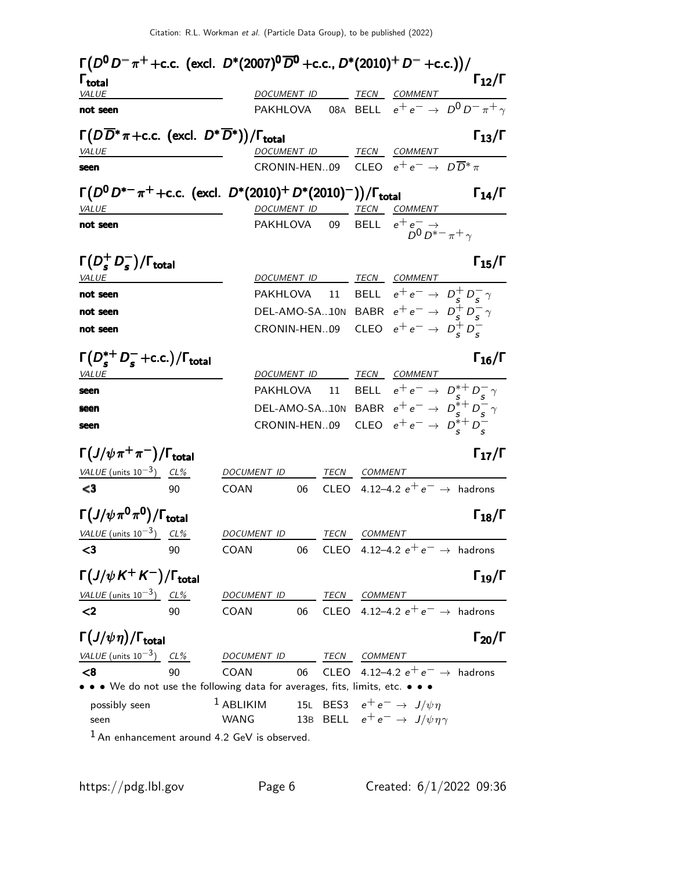| $\Gamma(D^0D^-\pi^+ + \text{c.c.}$ (excl. $D^*(2007)^0\overline{D}^0$ + c.c., $D^*(2010)^+D^-$ + c.c.))/ |      |                          |    |             |              |                                                                                               |                                                                                                |
|----------------------------------------------------------------------------------------------------------|------|--------------------------|----|-------------|--------------|-----------------------------------------------------------------------------------------------|------------------------------------------------------------------------------------------------|
| $\mathsf{\Gamma}_{\mathsf{total}}$<br>VALUE                                                              |      |                          |    |             |              |                                                                                               | $\Gamma_{12}/\Gamma$                                                                           |
| not seen                                                                                                 |      |                          |    |             |              |                                                                                               | <u>DOCUMENT ID</u> TECN COMMENT<br>PAKHLOVA 08A BELL $e^+e^- \rightarrow D^0 D^- \pi^+ \gamma$ |
| $\Gamma(D\overline{D}^*\pi + c.c.$ (excl. $D^*\overline{D}^*)$ )/ $\Gamma_{\text{total}}$                |      |                          |    |             |              |                                                                                               | $\Gamma_{13}/\Gamma$                                                                           |
| VALUE                                                                                                    |      |                          |    |             |              | DOCUMENT ID TECN COMMENT                                                                      |                                                                                                |
| seen                                                                                                     |      |                          |    |             |              | CRONIN-HEN09 CLEO $e^+e^- \rightarrow D\overline{D}^*\pi$                                     |                                                                                                |
| $\Gamma(D^0 D^{*-} \pi^+ + \text{c.c.}$ (excl. $D^*(2010)^+ D^*(2010)^-))/\Gamma_{\text{total}}$         |      |                          |    |             |              |                                                                                               | $\Gamma_{14}/\Gamma$                                                                           |
| <i>VALUE</i>                                                                                             |      | <b>DOCUMENT_ID</b>       |    |             |              | TECN COMMENT                                                                                  |                                                                                                |
| not seen                                                                                                 |      | PAKHLOVA 09              |    |             |              | BELL $e^+e^- \rightarrow$<br>$D^0 D^{*-} \pi^+ \gamma$                                        |                                                                                                |
| $\Gamma(D_s^+D_s^-)/\Gamma_{\rm total}$                                                                  |      |                          |    |             |              |                                                                                               | $\Gamma_{15}/\Gamma$                                                                           |
| VALUE                                                                                                    |      |                          |    |             |              | DOCUMENT ID TECN COMMENT                                                                      |                                                                                                |
| not seen                                                                                                 |      |                          |    |             |              | PAKHLOVA 11 BELL $e^+e^- \rightarrow D^+_{\varsigma}D^-_{\varsigma}\gamma$                    |                                                                                                |
| not seen                                                                                                 |      |                          |    |             |              | DEL-AMO-SA10N BABR $e^+e^- \rightarrow D_s^+D_s^- \gamma$                                     |                                                                                                |
| not seen                                                                                                 |      |                          |    |             |              | CRONIN-HEN09 CLEO $e^+e^- \rightarrow D_s^+D_s^-$                                             |                                                                                                |
| $\Gamma(D_s^{*+}D_s^-+c.c.)/\Gamma_{\rm total}$<br><i>VALUE</i>                                          |      | DOCUMENT ID              |    |             |              | TE <u>CN COMMENT</u>                                                                          | $\Gamma_{16}/\Gamma$                                                                           |
| seen                                                                                                     |      |                          |    |             |              |                                                                                               | PAKHLOVA 11 BELL $e^+e^- \rightarrow D_s^{*+}D_s^- \gamma$                                     |
| seen                                                                                                     |      |                          |    |             |              |                                                                                               | DEL-AMO-SA10N BABR $e^+e^- \rightarrow D_s^{*+}D_s^- \gamma$                                   |
| seen                                                                                                     |      |                          |    |             |              | CRONIN-HEN09 CLEO $e^+e^- \rightarrow D_s^*+D_s^-$                                            |                                                                                                |
| $\Gamma(J/\psi\pi^+\pi^-)/\Gamma_{\rm total}$                                                            |      |                          |    |             |              |                                                                                               | $\Gamma_{17}/\Gamma$                                                                           |
| VALUE (units $10^{-3}$ ) CL%                                                                             |      | DOCUMENT ID TECN COMMENT |    |             |              |                                                                                               |                                                                                                |
| $\leq 3$                                                                                                 | 90   | <b>COAN</b>              | 06 |             |              | CLEO 4.12-4.2 $e^+e^- \rightarrow$ hadrons                                                    |                                                                                                |
| $\Gamma(J/\psi\pi^{0}\pi^{0})/\Gamma_{\rm total}$                                                        |      |                          |    |             |              |                                                                                               | $\Gamma_{18}/\Gamma$                                                                           |
| VALUE (units $10^{-3}$ ) CL%                                                                             |      | DOCUMENT ID              |    |             | TECN COMMENT |                                                                                               |                                                                                                |
|                                                                                                          | - 90 | COAN                     |    |             |              | 06 CLEO 4.12–4.2 $e^+e^- \rightarrow$ hadrons                                                 |                                                                                                |
| $\Gamma\left(J/\psi K^+K^-\right)/\Gamma_{\rm total}$                                                    |      |                          |    |             |              |                                                                                               | $\Gamma_{19}/\Gamma$                                                                           |
| VALUE (units $10^{-3}$ ) CL%                                                                             |      | DOCUMENT ID TECN COMMENT |    |             |              |                                                                                               |                                                                                                |
| $\langle$                                                                                                | 90   | COAN                     |    |             |              | 06 CLEO 4.12-4.2 $e^+e^- \rightarrow$ hadrons                                                 |                                                                                                |
| $\Gamma(J/\psi\eta)/\Gamma_{\rm total}$                                                                  |      |                          |    |             |              |                                                                                               | $\Gamma_{20}/\Gamma$                                                                           |
| VALUE (units $10^{-3}$ ) CL%                                                                             |      | <b>DOCUMENT ID</b>       |    | <b>TECN</b> | COMMENT      |                                                                                               |                                                                                                |
| < 8                                                                                                      | 90   | COAN                     | 06 |             |              | CLEO 4.12-4.2 $e^+e^- \rightarrow$ hadrons                                                    |                                                                                                |
| • • • We do not use the following data for averages, fits, limits, etc. • • •                            |      |                          |    |             |              |                                                                                               |                                                                                                |
| possibly seen<br>seen                                                                                    |      | $1$ ABLIKIM<br>WANG      |    |             |              | 15L BES3 $e^+e^- \rightarrow J/\psi \eta$<br>13B BELL $e^+e^- \rightarrow J/\psi \eta \gamma$ |                                                                                                |
| $1$ An enhancement around 4.2 GeV is observed.                                                           |      |                          |    |             |              |                                                                                               |                                                                                                |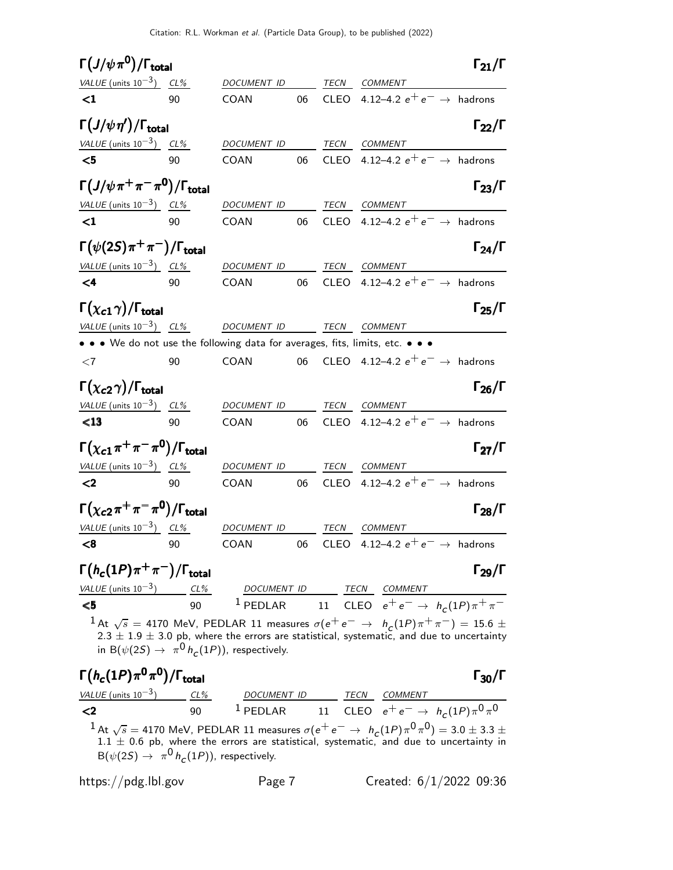| $\Gamma(J/\psi\pi^{\mathbf{0}})/\Gamma_{\text{total}}$                        |     |                                                             |    |             |                                                                                                                                                                                                                          | $\Gamma_{21}/\Gamma$ |
|-------------------------------------------------------------------------------|-----|-------------------------------------------------------------|----|-------------|--------------------------------------------------------------------------------------------------------------------------------------------------------------------------------------------------------------------------|----------------------|
| VALUE (units $10^{-3}$ ) CL%                                                  |     | DOCUMENT ID                                                 |    | <b>TECN</b> | COMMENT                                                                                                                                                                                                                  |                      |
| $\leq$ 1                                                                      | 90  | COAN                                                        | 06 |             | CLEO 4.12-4.2 $e^+e^- \rightarrow$ hadrons                                                                                                                                                                               |                      |
| $\Gamma(J/\psi\,\eta')/\Gamma_{\rm total}$                                    |     |                                                             |    |             |                                                                                                                                                                                                                          | $\Gamma_{22}/\Gamma$ |
| VALUE (units $10^{-3}$ ) CL%                                                  |     | DOCUMENT ID                                                 |    | <b>TECN</b> | <b>COMMENT</b>                                                                                                                                                                                                           |                      |
| $\leq 5$                                                                      | 90  | COAN                                                        | 06 | <b>CLEO</b> | 4.12–4.2 $e^+e^- \rightarrow$ hadrons                                                                                                                                                                                    |                      |
| $\Gamma(J/\psi\pi^+\pi^-\pi^0)/\Gamma_{\rm total}$                            |     |                                                             |    |             |                                                                                                                                                                                                                          | $\Gamma_{23}/\Gamma$ |
| VALUE (units $10^{-3}$ ) CL%                                                  |     | DOCUMENT ID                                                 |    | TECN        | COMMENT                                                                                                                                                                                                                  |                      |
| $\leq$ 1                                                                      | 90  | COAN                                                        | 06 |             | CLEO 4.12-4.2 $e^+e^- \rightarrow$ hadrons                                                                                                                                                                               |                      |
| $\Gamma(\psi(2S)\pi^+\pi^-)/\Gamma_{\rm total}$                               |     |                                                             |    |             |                                                                                                                                                                                                                          | $\Gamma_{24}/\Gamma$ |
| VALUE (units $10^{-3}$ ) CL%                                                  |     | DOCUMENT ID                                                 |    | TECN        | COMMENT                                                                                                                                                                                                                  |                      |
| $\leq 4$                                                                      | 90  | COAN                                                        | 06 |             | CLEO 4.12-4.2 $e^+e^- \rightarrow$ hadrons                                                                                                                                                                               |                      |
| $\Gamma(\chi_{c1}\gamma)/\Gamma_{\rm total}$                                  |     |                                                             |    |             |                                                                                                                                                                                                                          | $\Gamma_{25}/\Gamma$ |
| VALUE (units $10^{-3}$ ) CL%                                                  |     | DOCUMENT ID TECN COMMENT                                    |    |             |                                                                                                                                                                                                                          |                      |
| • • • We do not use the following data for averages, fits, limits, etc. • • • |     |                                                             |    |             |                                                                                                                                                                                                                          |                      |
| $\leq 7$                                                                      | 90  | COAN                                                        | 06 |             | CLEO 4.12-4.2 $e^+e^- \rightarrow$ hadrons                                                                                                                                                                               |                      |
| $\Gamma(\chi_{c2}\gamma)/\Gamma_{\rm total}$                                  |     |                                                             |    |             |                                                                                                                                                                                                                          | $\Gamma_{26}/\Gamma$ |
| VALUE (units $10^{-3}$ ) CL%                                                  |     | DOCUMENT ID                                                 |    | <b>TECN</b> | COMMENT                                                                                                                                                                                                                  |                      |
| $\leq 13$                                                                     | 90  | COAN                                                        | 06 |             | CLEO 4.12-4.2 $e^+e^- \rightarrow$ hadrons                                                                                                                                                                               |                      |
| $\Gamma(\chi_{\bf c1}\pi^+\pi^-\pi^0)/\Gamma_{\bf total}$                     |     |                                                             |    |             |                                                                                                                                                                                                                          | $\Gamma_{27}/\Gamma$ |
| VALUE (units $10^{-3}$ ) CL%                                                  |     | DOCUMENT ID                                                 |    |             | TECN COMMENT                                                                                                                                                                                                             |                      |
| $\leq$                                                                        | 90  | COAN                                                        | 06 |             | CLEO 4.12-4.2 $e^+e^- \rightarrow$ hadrons                                                                                                                                                                               |                      |
| $\Gamma(\chi_{c2}\pi^+\pi^-\pi^0)/\Gamma_{\rm total}$                         |     |                                                             |    |             |                                                                                                                                                                                                                          | $\Gamma_{28}/\Gamma$ |
| VALUE (units $10^{-3}$ ) CL%                                                  |     | DOCUMENT ID                                                 |    | TECN        | COMMENT                                                                                                                                                                                                                  |                      |
| $\leq$ 8 90                                                                   |     |                                                             |    |             | COAN 06 CLEO 4.12-4.2 $e^+e^- \rightarrow$ hadrons                                                                                                                                                                       |                      |
| $\Gamma(h_c(1P)\pi^+\pi^-)/\Gamma_{\rm total}$                                |     |                                                             |    |             |                                                                                                                                                                                                                          | $\Gamma_{29}/\Gamma$ |
|                                                                               |     |                                                             |    |             |                                                                                                                                                                                                                          |                      |
|                                                                               |     |                                                             |    |             | VALUE (units 10 <sup>-3</sup> ) $\frac{CL\%}{90}$ 1 DOCUMENT ID TECN COMMENT<br><5 11 CLEO $e^+e^- \rightarrow h_c(1P)\pi^+\pi^-$                                                                                        |                      |
|                                                                               |     | in B( $\psi(2S) \rightarrow \pi^0 h_c(1P)$ ), respectively. |    |             | $^1$ At $\sqrt{s}$ = 4170 MeV, PEDLAR 11 measures $\sigma(\mathrm{e^+e^-} \rightarrow ~h_c(1P)\pi^+\pi^-)=$ 15.6 $\pm$<br>$2.3 \pm 1.9 \pm 3.0$ pb, where the errors are statistical, systematic, and due to uncertainty |                      |
| $\Gamma(h_c(1P)\pi^0\pi^0)/\Gamma_{\rm total}$                                |     |                                                             |    |             |                                                                                                                                                                                                                          | $\Gamma_{30}/\Gamma$ |
| <i>VALUE</i> (units $10^{-3}$ )                                               | CL% | DOCUMENT ID                                                 |    |             | COMMENT<br>TECN                                                                                                                                                                                                          |                      |

<2 90 <sup>1</sup> PEDLAR 11 CLEO  $e^+e^-$  →  $h_c$  $(1P)\pi^{0}\pi^{0}$  $^1$  At  $\sqrt{s} =$  4170 MeV, PEDLAR 11 measures  $\sigma(e^+e^-\rightarrow ~h_c(1P)\pi^0\pi^0) =$  3.0  $\pm$  3.3  $\pm$  $1.1 \pm 0.6$  pb, where the errors are statistical, systematic, and due to uncertainty in  $\mathsf{B}(\psi(2S) \to \pi^0 \, h_{\mathsf{C}}(1P))$ , respectively.

https://pdg.lbl.gov Page 7 Created: 6/1/2022 09:36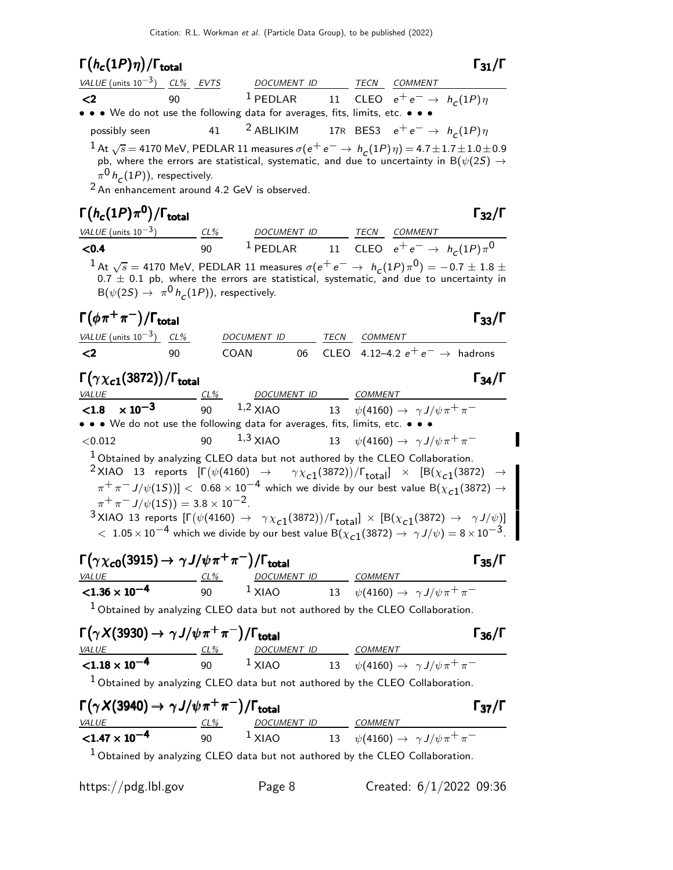#### $\Gamma(h_c(1P)\eta)/\Gamma_{\text{total}}$  Γ<sub>31</sub>/Γ total and  $\frac{1}{31}/1$

| VALUE (units $10^{-3}$ ) CL% EVTS                                             |    | DOCUMENT ID | <b>TECN</b> | <i>COMMENT</i>                                                                                                                                                                                                                        |
|-------------------------------------------------------------------------------|----|-------------|-------------|---------------------------------------------------------------------------------------------------------------------------------------------------------------------------------------------------------------------------------------|
| $\langle 2 \rangle$                                                           | 90 |             |             | <sup>1</sup> PEDLAR 11 CLEO $e^+e^- \rightarrow h_c(1P)\eta$                                                                                                                                                                          |
| • • • We do not use the following data for averages, fits, limits, etc. • • • |    |             |             |                                                                                                                                                                                                                                       |
| possibly seen                                                                 |    |             |             | 41 <sup>2</sup> ABLIKIM 17R BES3 $e^+e^- \rightarrow h_c(1P)\eta$                                                                                                                                                                     |
| $\frac{1}{2}\pi^0 h^{\phantom{\dagger}}_C(1P)$ ), respectively.               |    |             |             | $1$ At $\sqrt{s}$ = 4170 MeV, PEDLAR 11 measures $\sigma(e^+e^-\rightarrow h_c(1P)\eta)$ = 4.7 $\pm$ 1.7 $\pm$ 1.0 $\pm$ 0.9<br>pb, where the errors are statistical, systematic, and due to uncertainty in B( $\psi(2S) \rightarrow$ |

<sup>2</sup> An enhancement around 4.2 GeV is observed.

# Γ $(h_c(1P)π<sup>0</sup>)$ /Γ<sub>total</sub> Γ<sub>32</sub>/Γ

| <i>VALUE</i> (units $10^{-3}$ ) |  | $CL\%$ | DOCUMENT ID                                                   |  | <i>TECN COMMENT</i> |  |
|---------------------------------|--|--------|---------------------------------------------------------------|--|---------------------|--|
| $<$ 0.4                         |  |        | <sup>1</sup> PEDLAR 11 CLEO $e^+e^- \rightarrow h_c(1P)\pi^0$ |  |                     |  |
|                                 |  |        |                                                               |  |                     |  |

 $1$  At  $\sqrt{s}$  = 4170 MeV, PEDLAR 11 measures  $\sigma(e^+e^- \rightarrow h_c(1P)\pi^0) = -0.7 \pm 1.8 \pm 0.005$  $0.7 \pm 0.1$  pb, where the errors are statistical, systematic, and due to uncertainty in  $\mathsf{B}(\psi(2S) \to \pi^0 \, h_{\mathcal{C}}(1P))$ , respectively.

#### $\Gamma(\phi \pi^+ \pi^-)/\Gamma_{\rm total}$  Γ<sub>33</sub>/Γ /Γ $_{\rm total}$ Γ<sub>33</sub>/Γ

| VALUE (units $10^{-3}$ ) CL% |     | DOCUMENT ID |  | <i>TECN COMMENT</i>                           |
|------------------------------|-----|-------------|--|-----------------------------------------------|
| - <2                         | 90. | COAN        |  | 06 CLEO 4.12–4.2 $e^+e^- \rightarrow$ hadrons |

### Γ $(\gamma \chi_{c1}(3872))/\Gamma_{\rm total}$  Γ34/Γ total and the set of the set of the set of the set of the set of the set of the set of the set of the set of t

### VALUE CL% DOCUMENT ID COMMENT  $<$ 1.8  $\times$  10<sup>-3</sup> 90  $1,2$  XIAO 13  $\psi(4160) \to \gamma J/\psi \pi^+ \pi^-$ • • • We do not use the following data for averages, fits, limits, etc. • • •  $<$ 0.012 90  $1,3$  XIAO 13  $\psi$ (4160) →  $\gamma J/\psi \pi^+ \pi^-$

1 Obtained by analyzing CLEO data but not authored by the CLEO Collaboration.

 $^2$ XIAO 13 reports  $[\Gamma(\psi(4160) \rightarrow \gamma \chi_{c1}(3872))/\Gamma_{\text{total}}] \times [B(\chi_{c1}(3872) \rightarrow$  $\pi^+\pi^-$  J/ $\psi(1S))]<~$  0.68  $\times$   $10^{-4}$  which we divide by our best value B( $\chi_{c1}(3872)\rightarrow$  $\pi^{+}\pi^{-}J/\psi(15)$  = 3.8 × 10<sup>-2</sup>.  $^3$ XIAO 13 reports  $[\Gamma(\psi(4160) \to \gamma \chi_{c1}(3872))/\Gamma_{\text{total}}] \times [B(\chi_{c1}(3872) \to \gamma J/\psi)]$ 

 $< 1.05 \times 10^{-4}$  which we divide by our best value B( $\chi_{c1}(3872) \rightarrow \gamma J/\psi$ ) =  $8 \times 10^{-3}$ .

# $\Gamma(\gamma \chi_{c0}(3915) \to \gamma J/\psi \pi^+ \pi^-)/\Gamma_{\rm total}$  Γ<sub>35</sub>/Γ

| <b>VALUE</b>            | CL% | <i>DOCUMENT ID</i> | COMMENT                                       |
|-------------------------|-----|--------------------|-----------------------------------------------|
| $< 1.36 \times 10^{-4}$ | 90  | $1$ XIAO           | 13 $\psi(4160) \to \gamma J/\psi \pi^+ \pi^-$ |

<sup>1</sup> Obtained by analyzing CLEO data but not authored by the CLEO Collaboration.

| $\Gamma(\gamma X(3930) \rightarrow \gamma J/\psi \pi^+ \pi^-)/\Gamma_{\text{total}}$ |     |                    | $\Gamma_{36}/\Gamma$                                                            |  |
|--------------------------------------------------------------------------------------|-----|--------------------|---------------------------------------------------------------------------------|--|
| <i>VALUE</i>                                                                         | CL% | <i>DOCUMENT ID</i> | COMMENT                                                                         |  |
| $< 1.18 \times 10^{-4}$                                                              | 90  | $1 \times$ IAO     | 13 $\psi(4160) \to \gamma J/\psi \pi^+ \pi^-$                                   |  |
|                                                                                      |     |                    | $1$ Obtained by analyzing CLEO data but not authored by the CLEO Collaboration. |  |

| $\Gamma(\gamma X(3940) \rightarrow \gamma J/\psi \pi^+ \pi^-)/\Gamma_{\text{total}}$ |     |                    |                                                                                          | $\Gamma_{37}/\Gamma$ |
|--------------------------------------------------------------------------------------|-----|--------------------|------------------------------------------------------------------------------------------|----------------------|
| <i>VALUE</i>                                                                         | CL% | DOCUMENT ID        | COMMENT                                                                                  |                      |
| $<$ 1.47 $\times$ 10 $^{-4}$                                                         | 90  | $\frac{1}{2}$ XIAO | 13 $\psi(4160) \to \gamma J/\psi \pi^+ \pi^-$                                            |                      |
|                                                                                      |     |                    | $\frac{1}{2}$ Obtained by analyzing CLEO data but not authored by the CLEO Collaboration |                      |

Obtained by analyzing CLEO data but not authored by the CLEO Collaboration.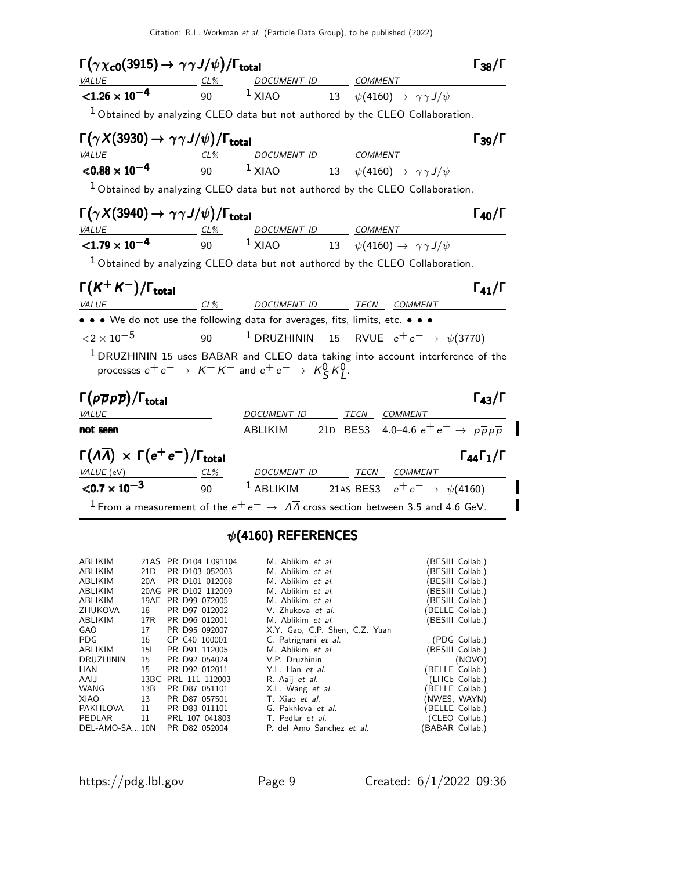| $\Gamma(\gamma\chi_{\bf c0}(3915) \to \gamma\gamma J/\psi)/\Gamma_{\bf total}$   |                 |         |                                                                                                                                                                                                 | $\Gamma_{38}/\Gamma$           |
|----------------------------------------------------------------------------------|-----------------|---------|-------------------------------------------------------------------------------------------------------------------------------------------------------------------------------------------------|--------------------------------|
| <b>VALUE</b>                                                                     | $\frac{CL\%}{}$ |         | DOCUMENT ID COMMENT                                                                                                                                                                             |                                |
| $< 1.26 \times 10^{-4}$                                                          |                 |         | 90 $1$ XIAO $13$ $\psi(4160) \rightarrow \gamma \gamma J/\psi$                                                                                                                                  |                                |
|                                                                                  |                 |         | <sup>1</sup> Obtained by analyzing CLEO data but not authored by the CLEO Collaboration.                                                                                                        |                                |
| $\Gamma(\gamma X(3930) \rightarrow \gamma \gamma J/\psi)/\Gamma_{\rm total}$     |                 |         |                                                                                                                                                                                                 | $\Gamma_{39}/\Gamma$           |
|                                                                                  |                 |         | VALUE $\frac{C1\%}{500}$ $\frac{100 \text{CUMENT ID}}{1 \times 100}$ $\frac{COMMENT}{100}$ $\frac{100 \text{CUMENT}}{1000}$ $\frac{1000 \text{CUMENT}}{1000}$ $\frac{1000 \text{CUMENT}}{1000}$ |                                |
|                                                                                  |                 |         |                                                                                                                                                                                                 |                                |
|                                                                                  |                 |         | <sup>1</sup> Obtained by analyzing CLEO data but not authored by the CLEO Collaboration.                                                                                                        |                                |
| $\Gamma(\gamma X(3940) \rightarrow \gamma \gamma J/\psi)/\Gamma_{\rm total}$     |                 |         |                                                                                                                                                                                                 | $\Gamma_{40}/\Gamma$           |
|                                                                                  |                 |         |                                                                                                                                                                                                 |                                |
|                                                                                  |                 |         | $\frac{VALUE}{1.79 \times 10^{-4}}$ $\frac{CL\%}{90}$ $\frac{DOCUMENT ID}{XIAO}$ $\frac{COMMENT}{13}$ $\frac{COMMENT}{\psi(4160) \rightarrow \gamma\gamma J/\psi}$                              |                                |
|                                                                                  |                 |         | $^1$ Obtained by analyzing CLEO data but not authored by the CLEO Collaboration.                                                                                                                |                                |
| $\Gamma(K^+K^-)/\Gamma_{\rm total}$                                              |                 |         |                                                                                                                                                                                                 | $\Gamma_{41}/\Gamma$           |
| <i>VALUE</i>                                                                     |                 |         | <u>CL% DOCUMENT ID TECN COMMENT</u>                                                                                                                                                             |                                |
| • • • We do not use the following data for averages, fits, limits, etc. • • •    |                 |         |                                                                                                                                                                                                 |                                |
| ${<}2\times10^{-5}$                                                              | 90              |         | $^1$ DRUZHININ 15 RVUE $e^+e^- \rightarrow \psi(3770)$                                                                                                                                          |                                |
| processes $e^+e^- \rightarrow K^+K^-$ and $e^+e^- \rightarrow K_S^0 K_I^0$ .     |                 |         | $1$ DRUZHININ 15 uses BABAR and CLEO data taking into account interference of the                                                                                                               |                                |
| $\Gamma(p\overline{p}p\overline{p})/\Gamma_{\rm total}$                          |                 |         |                                                                                                                                                                                                 | $\Gamma_{43}/\Gamma$           |
| <i>VALUE</i>                                                                     |                 |         | DOCUMENT ID TECN COMMENT                                                                                                                                                                        |                                |
| not seen                                                                         |                 | ABLIKIM | 21D BES3 4.0–4.6 $e^+e^- \rightarrow p\bar{p}p\bar{p}$                                                                                                                                          |                                |
| $\Gamma(\Lambda \overline{\Lambda}) \times \Gamma(e^+e^-)/\Gamma_{\text{total}}$ |                 |         |                                                                                                                                                                                                 | $\Gamma_{44}\Gamma_{1}/\Gamma$ |
| VALUE (eV) CL% DOCUMENT ID TECN COMMENT                                          |                 |         |                                                                                                                                                                                                 |                                |
| $\le 0.7 \times 10^{-3}$                                                         |                 |         | 90 $^1$ ABLIKIM 21AS BES3 $e^+e^- \rightarrow \psi(4160)$                                                                                                                                       |                                |
|                                                                                  |                 |         | $^1$ From a measurement of the $e^+e^-\rightarrow\,\varLambda\overline{\varLambda}$ cross section between 3.5 and 4.6 GeV.                                                                      |                                |
|                                                                                  |                 |         |                                                                                                                                                                                                 |                                |

## $\psi$ (4160) REFERENCES

| <b>ABLIKIM</b> |     | 21AS PR D104 L091104 | M. Ablikim et al.                | (BESIII Collab.) |
|----------------|-----|----------------------|----------------------------------|------------------|
| <b>ABLIKIM</b> | 21D | PR D103 052003       | M. Ablikim et al.                | BESIII Collab.)  |
| ABLIKIM        | 20A | PR D101 012008       | M. Ablikim et al.                | BESIII Collab.)  |
| ABLIKIM        |     | 20AG PR D102 112009  | M. Ablikim et al.                | BESIII Collab.)  |
| <b>ABLIKIM</b> |     | 19AE PR D99 072005   | M. Ablikim et al.                | (BESIII Collab.) |
| ZHUKOVA        | 18  | PR D97 012002        | V. Zhukova et al.                | (BELLE Collab.)  |
| ABLIKIM        | 17R | PR D96 012001        | M. Ablikim et al.                | (BESIII Collab.) |
| <b>GAO</b>     | 17  | PR D95 092007        | X.Y. Gao, C.P. Shen, C.Z. Yuan   |                  |
| PDG            | 16  | CP C40 100001        | C. Patrignani et al.             | (PDG Collab.)    |
| ABLIKIM        | 15L | PR D91 112005        | M. Ablikim et al.                | (BESIII Collab.) |
| DRUZHININ      | 15  | PR D92 054024        | V.P. Druzhinin                   | (NOVO)           |
| HAN            | 15  | PR D92 012011        | Y.L. Han et al.                  | (BELLE Collab.)  |
| AAIJ           |     | 13BC PRL 111 112003  | R. Aaij et al.                   | (LHCb Collab.)   |
| WANG           | 13B | PR D87 051101        | X.L. Wang et al.                 | (BELLE Collab.)  |
| XIAO           | 13  | PR D87 057501        | T. Xiao et al.                   | (NWES, WAYN)     |
| PAKHLOVA       | 11  | PR D83 011101        | G. Pakhlova et al.               | (BELLE Collab.)  |
| PEDLAR         | 11  | PRL 107 041803       | T. Pedlar <i>et al.</i>          | (CLEO Collab.)   |
| DEL-AMO-SA 10N |     | PR D82 052004        | P. del Amo Sanchez <i>et al.</i> | (BABAR Collab.)  |
|                |     |                      |                                  |                  |

 $\blacksquare$